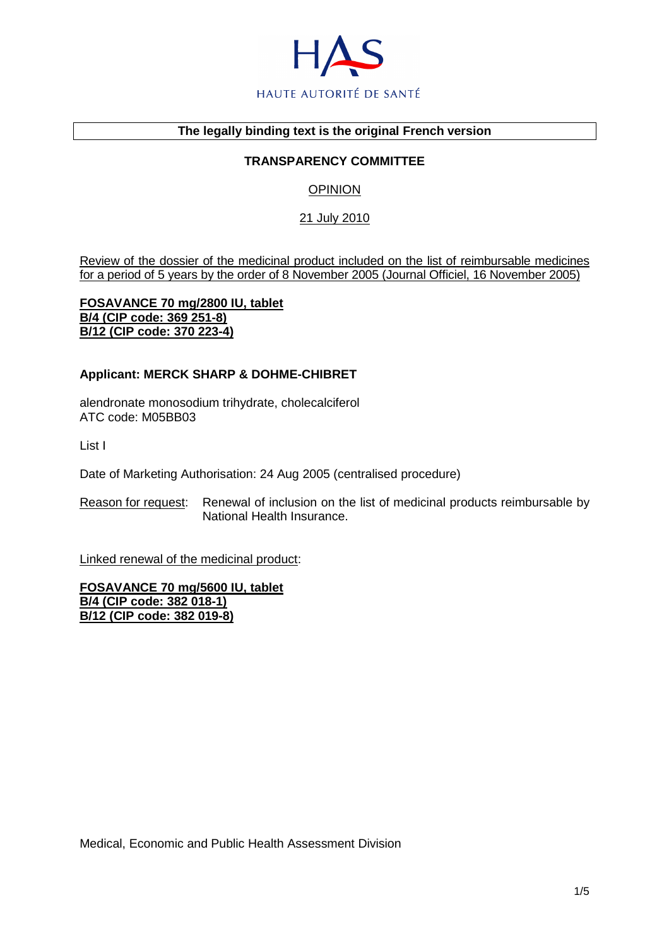

#### **The legally binding text is the original French version**

## **TRANSPARENCY COMMITTEE**

## **OPINION**

## 21 July 2010

Review of the dossier of the medicinal product included on the list of reimbursable medicines for a period of 5 years by the order of 8 November 2005 (Journal Officiel, 16 November 2005)

**FOSAVANCE 70 mg/2800 IU, tablet B/4 (CIP code: 369 251-8) B/12 (CIP code: 370 223-4)**

#### **Applicant: MERCK SHARP & DOHME-CHIBRET**

alendronate monosodium trihydrate, cholecalciferol ATC code: M05BB03

List I

Date of Marketing Authorisation: 24 Aug 2005 (centralised procedure)

Reason for request: Renewal of inclusion on the list of medicinal products reimbursable by National Health Insurance.

Linked renewal of the medicinal product:

**FOSAVANCE 70 mg/5600 IU, tablet B/4 (CIP code: 382 018-1) B/12 (CIP code: 382 019-8)**

Medical, Economic and Public Health Assessment Division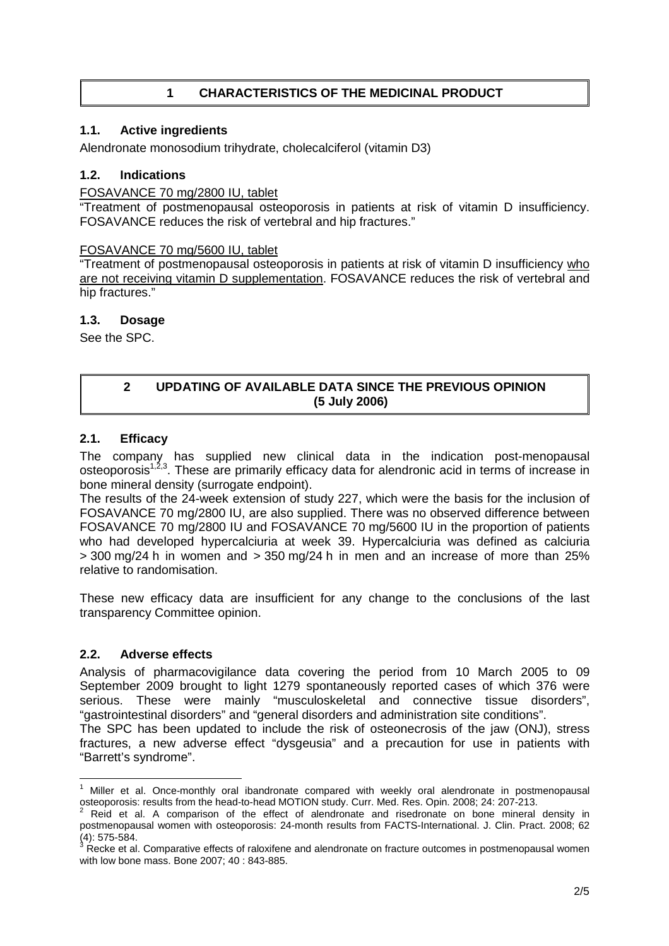# **1 CHARACTERISTICS OF THE MEDICINAL PRODUCT**

## **1.1. Active ingredients**

Alendronate monosodium trihydrate, cholecalciferol (vitamin D3)

## **1.2. Indications**

## FOSAVANCE 70 mg/2800 IU, tablet

"Treatment of postmenopausal osteoporosis in patients at risk of vitamin D insufficiency. FOSAVANCE reduces the risk of vertebral and hip fractures."

## FOSAVANCE 70 mg/5600 IU, tablet

"Treatment of postmenopausal osteoporosis in patients at risk of vitamin D insufficiency who are not receiving vitamin D supplementation. FOSAVANCE reduces the risk of vertebral and hip fractures."

## **1.3. Dosage**

See the SPC.

## **2 UPDATING OF AVAILABLE DATA SINCE THE PREVIOUS OPINION (5 July 2006)**

## **2.1. Efficacy**

The company has supplied new clinical data in the indication post-menopausal osteoporosis<sup>1,2,3</sup>. These are primarily efficacy data for alendronic acid in terms of increase in bone mineral density (surrogate endpoint).

The results of the 24-week extension of study 227, which were the basis for the inclusion of FOSAVANCE 70 mg/2800 IU, are also supplied. There was no observed difference between FOSAVANCE 70 mg/2800 IU and FOSAVANCE 70 mg/5600 IU in the proportion of patients who had developed hypercalciuria at week 39. Hypercalciuria was defined as calciuria  $>$  300 mg/24 h in women and  $>$  350 mg/24 h in men and an increase of more than 25% relative to randomisation.

These new efficacy data are insufficient for any change to the conclusions of the last transparency Committee opinion.

## **2.2. Adverse effects**

Analysis of pharmacovigilance data covering the period from 10 March 2005 to 09 September 2009 brought to light 1279 spontaneously reported cases of which 376 were serious. These were mainly "musculoskeletal and connective tissue disorders", "gastrointestinal disorders" and "general disorders and administration site conditions".

The SPC has been updated to include the risk of osteonecrosis of the jaw (ONJ), stress fractures, a new adverse effect "dysgeusia" and a precaution for use in patients with "Barrett's syndrome".

 $\overline{a}$ <sup>1</sup> Miller et al. Once-monthly oral ibandronate compared with weekly oral alendronate in postmenopausal osteoporosis: results from the head-to-head MOTION study. Curr. Med. Res. Opin. 2008; 24: 207-213.<br><sup>2</sup> Reid, at al. A comparison of the effect of clandrenate and risedrenate an head mineral.

Reid et al. A comparison of the effect of alendronate and risedronate on bone mineral density in postmenopausal women with osteoporosis: 24-month results from FACTS-International. J. Clin. Pract. 2008; 62

<sup>(4): 575-584.&</sup>lt;br><sup>3</sup> Recke et al. Comparative effects of raloxifene and alendronate on fracture outcomes in postmenopausal women with low bone mass. Bone 2007; 40 : 843-885.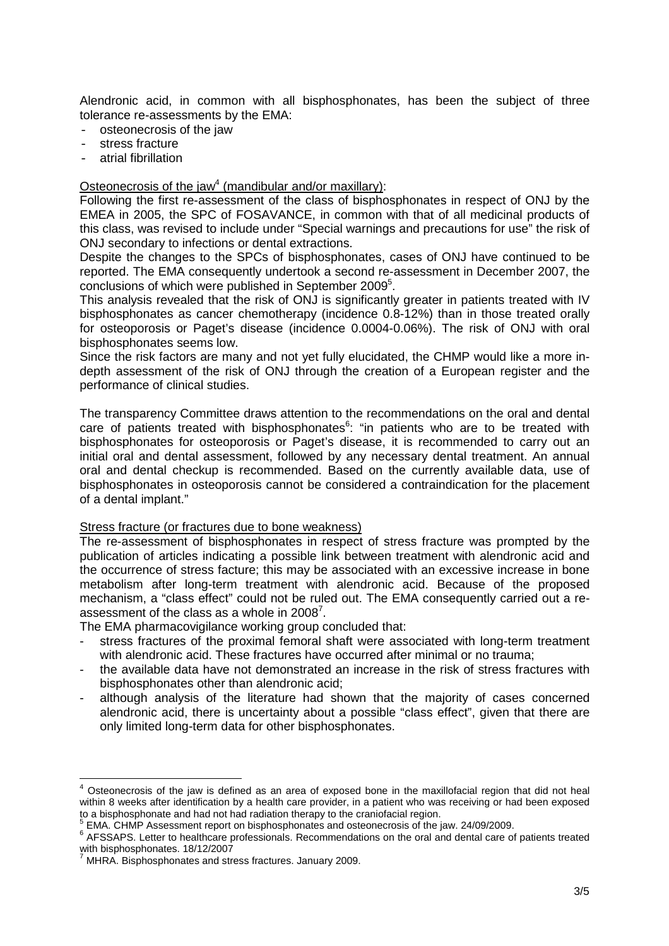Alendronic acid, in common with all bisphosphonates, has been the subject of three tolerance re-assessments by the EMA:

- osteonecrosis of the jaw
- stress fracture
- atrial fibrillation

#### Osteonecrosis of the jaw<sup>4</sup> (mandibular and/or maxillary):

Following the first re-assessment of the class of bisphosphonates in respect of ONJ by the EMEA in 2005, the SPC of FOSAVANCE, in common with that of all medicinal products of this class, was revised to include under "Special warnings and precautions for use" the risk of ONJ secondary to infections or dental extractions.

Despite the changes to the SPCs of bisphosphonates, cases of ONJ have continued to be reported. The EMA consequently undertook a second re-assessment in December 2007, the conclusions of which were published in September 2009<sup>5</sup>.

This analysis revealed that the risk of ONJ is significantly greater in patients treated with IV bisphosphonates as cancer chemotherapy (incidence 0.8-12%) than in those treated orally for osteoporosis or Paget's disease (incidence 0.0004-0.06%). The risk of ONJ with oral bisphosphonates seems low.

Since the risk factors are many and not yet fully elucidated, the CHMP would like a more indepth assessment of the risk of ONJ through the creation of a European register and the performance of clinical studies.

The transparency Committee draws attention to the recommendations on the oral and dental care of patients treated with bisphosphonates $6$ : "in patients who are to be treated with bisphosphonates for osteoporosis or Paget's disease, it is recommended to carry out an initial oral and dental assessment, followed by any necessary dental treatment. An annual oral and dental checkup is recommended. Based on the currently available data, use of bisphosphonates in osteoporosis cannot be considered a contraindication for the placement of a dental implant."

## Stress fracture (or fractures due to bone weakness)

The re-assessment of bisphosphonates in respect of stress fracture was prompted by the publication of articles indicating a possible link between treatment with alendronic acid and the occurrence of stress facture; this may be associated with an excessive increase in bone metabolism after long-term treatment with alendronic acid. Because of the proposed mechanism, a "class effect" could not be ruled out. The EMA consequently carried out a reassessment of the class as a whole in 2008<sup>7</sup>.

The EMA pharmacovigilance working group concluded that:

- stress fractures of the proximal femoral shaft were associated with long-term treatment with alendronic acid. These fractures have occurred after minimal or no trauma;
- the available data have not demonstrated an increase in the risk of stress fractures with bisphosphonates other than alendronic acid;
- although analysis of the literature had shown that the majority of cases concerned alendronic acid, there is uncertainty about a possible "class effect", given that there are only limited long-term data for other bisphosphonates.

**EXECTS 2012**<br>A Osteonecrosis of the jaw is defined as an area of exposed bone in the maxillofacial region that did not heal within 8 weeks after identification by a health care provider, in a patient who was receiving or had been exposed to a bisphosphonate and had not had radiation therapy to the craniofacial region.<br><sup>5</sup> EMA, CHMB Assessment report on bisphesphantes and estacessessing of the in

EMA. CHMP Assessment report on bisphosphonates and osteonecrosis of the jaw. 24/09/2009.

 $6$  AFSSAPS. Letter to healthcare professionals. Recommendations on the oral and dental care of patients treated with bisphosphonates. 18/12/2007

<sup>&</sup>lt;sup>7</sup> MHRA. Bisphosphonates and stress fractures. January 2009.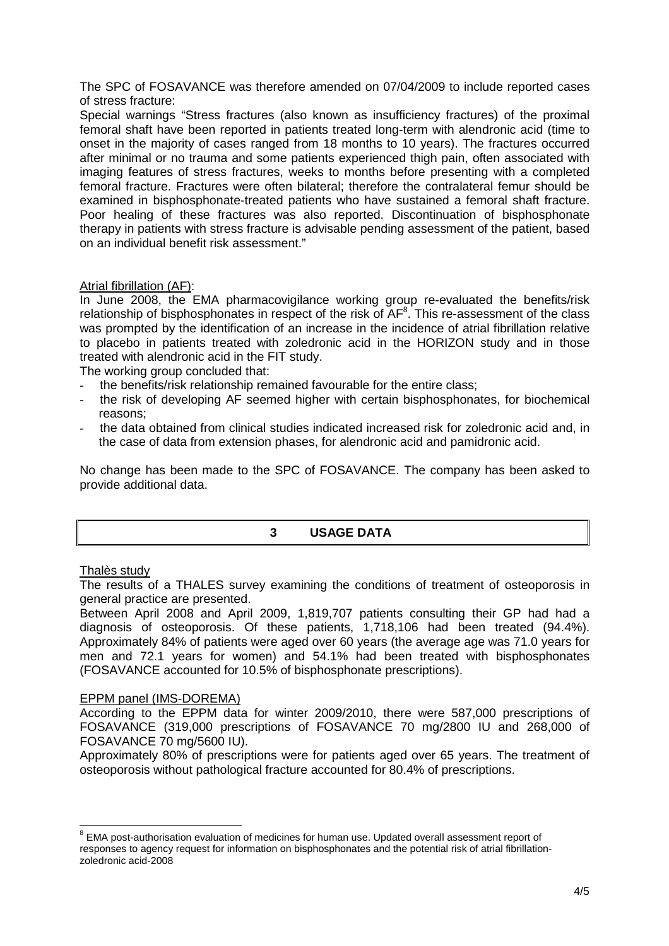The SPC of FOSAVANCE was therefore amended on 07/04/2009 to include reported cases of stress fracture:

Special warnings "Stress fractures (also known as insufficiency fractures) of the proximal femoral shaft have been reported in patients treated long-term with alendronic acid (time to onset in the majority of cases ranged from 18 months to 10 years). The fractures occurred after minimal or no trauma and some patients experienced thigh pain, often associated with imaging features of stress fractures, weeks to months before presenting with a completed femoral fracture. Fractures were often bilateral; therefore the contralateral femur should be examined in bisphosphonate-treated patients who have sustained a femoral shaft fracture. Poor healing of these fractures was also reported. Discontinuation of bisphosphonate therapy in patients with stress fracture is advisable pending assessment of the patient, based on an individual benefit risk assessment."

## Atrial fibrillation (AF):

In June 2008, the EMA pharmacovigilance working group re-evaluated the benefits/risk relationship of bisphosphonates in respect of the risk of  $AF^8$ . This re-assessment of the class was prompted by the identification of an increase in the incidence of atrial fibrillation relative to placebo in patients treated with zoledronic acid in the HORIZON study and in those treated with alendronic acid in the FIT study.

The working group concluded that:

- the benefits/risk relationship remained favourable for the entire class;
- the risk of developing AF seemed higher with certain bisphosphonates, for biochemical reasons;
- the data obtained from clinical studies indicated increased risk for zoledronic acid and, in the case of data from extension phases, for alendronic acid and pamidronic acid.

No change has been made to the SPC of FOSAVANCE. The company has been asked to provide additional data.

## **3 USAGE DATA**

#### Thalès study

The results of a THALES survey examining the conditions of treatment of osteoporosis in general practice are presented.

Between April 2008 and April 2009, 1,819,707 patients consulting their GP had had a diagnosis of osteoporosis. Of these patients, 1,718,106 had been treated (94.4%). Approximately 84% of patients were aged over 60 years (the average age was 71.0 years for men and 72.1 years for women) and 54.1% had been treated with bisphosphonates (FOSAVANCE accounted for 10.5% of bisphosphonate prescriptions).

#### EPPM panel (IMS-DOREMA)

According to the EPPM data for winter 2009/2010, there were 587,000 prescriptions of FOSAVANCE (319,000 prescriptions of FOSAVANCE 70 mg/2800 IU and 268,000 of FOSAVANCE 70 mg/5600 IU).

Approximately 80% of prescriptions were for patients aged over 65 years. The treatment of osteoporosis without pathological fracture accounted for 80.4% of prescriptions.

l  $8$  EMA post-authorisation evaluation of medicines for human use. Updated overall assessment report of responses to agency request for information on bisphosphonates and the potential risk of atrial fibrillationzoledronic acid-2008